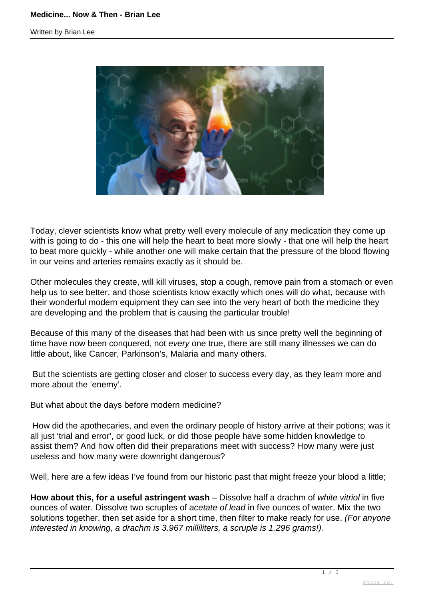Written by Brian Lee



Today, clever scientists know what pretty well every molecule of any medication they come up with is going to do - this one will help the heart to beat more slowly - that one will help the heart to beat more quickly - while another one will make certain that the pressure of the blood flowing in our veins and arteries remains exactly as it should be.

Other molecules they create, will kill viruses, stop a cough, remove pain from a stomach or even help us to see better, and those scientists know exactly which ones will do what, because with their wonderful modern equipment they can see into the very heart of both the medicine they are developing and the problem that is causing the particular trouble!

Because of this many of the diseases that had been with us since pretty well the beginning of time have now been conquered, not every one true, there are still many illnesses we can do little about, like Cancer, Parkinson's, Malaria and many others.

 But the scientists are getting closer and closer to success every day, as they learn more and more about the 'enemy'.

But what about the days before modern medicine?

 How did the apothecaries, and even the ordinary people of history arrive at their potions; was it all just 'trial and error', or good luck, or did those people have some hidden knowledge to assist them? And how often did their preparations meet with success? How many were just useless and how many were downright dangerous?

Well, here are a few ideas I've found from our historic past that might freeze your blood a little;

**How about this, for a useful astringent wash** – Dissolve half a drachm of white vitriol in five ounces of water. Dissolve two scruples of acetate of lead in five ounces of water. Mix the two solutions together, then set aside for a short time, then filter to make ready for use. (For anyone interested in knowing, a drachm is 3.967 milliliters, a scruple is 1.296 grams!).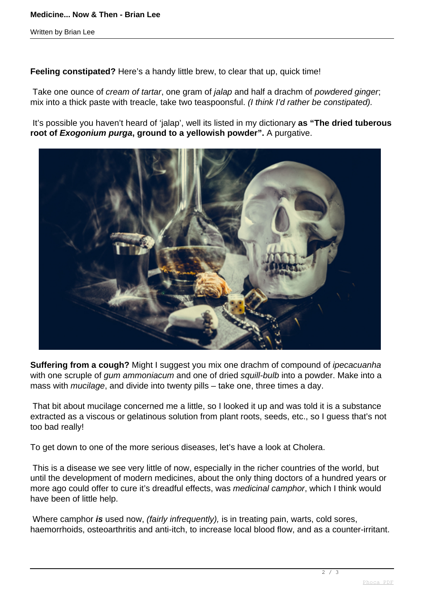Written by Brian Lee

**Feeling constipated?** Here's a handy little brew, to clear that up, quick time!

 Take one ounce of cream of tartar, one gram of jalap and half a drachm of powdered ginger; mix into a thick paste with treacle, take two teaspoonsful. (I think I'd rather be constipated).

 It's possible you haven't heard of 'jalap', well its listed in my dictionary **as "The dried tuberous root of Exogonium purga, ground to a yellowish powder".** A purgative.



**Suffering from a cough?** Might I suggest you mix one drachm of compound of ipecacuanha with one scruple of *gum ammoniacum* and one of dried squill-bulb into a powder. Make into a mass with *mucilage*, and divide into twenty pills – take one, three times a day.

 That bit about mucilage concerned me a little, so I looked it up and was told it is a substance extracted as a viscous or gelatinous solution from plant roots, seeds, etc., so I guess that's not too bad really!

To get down to one of the more serious diseases, let's have a look at Cholera.

 This is a disease we see very little of now, especially in the richer countries of the world, but until the development of modern medicines, about the only thing doctors of a hundred years or more ago could offer to cure it's dreadful effects, was medicinal camphor, which I think would have been of little help.

Where camphor **is** used now, *(fairly infrequently)*, is in treating pain, warts, cold sores, haemorrhoids, osteoarthritis and anti-itch, to increase local blood flow, and as a counter-irritant.